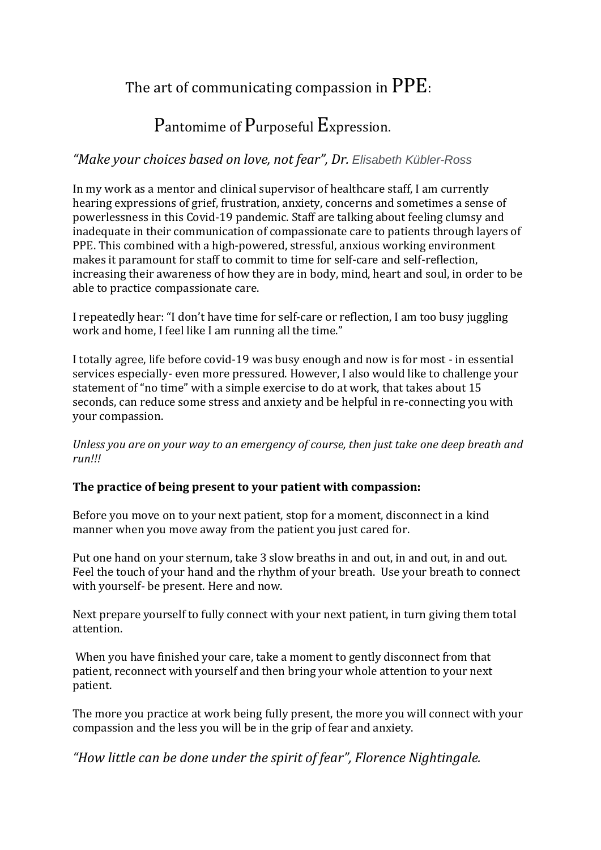## The art of communicating compassion in PPE:

# Pantomime of Purposeful Expression.

## *"Make your choices based on love, not fear", Dr. Elisabeth Kübler-Ross*

In my work as a mentor and clinical supervisor of healthcare staff, I am currently hearing expressions of grief, frustration, anxiety, concerns and sometimes a sense of powerlessness in this Covid-19 pandemic. Staff are talking about feeling clumsy and inadequate in their communication of compassionate care to patients through layers of PPE. This combined with a high-powered, stressful, anxious working environment makes it paramount for staff to commit to time for self-care and self-reflection, increasing their awareness of how they are in body, mind, heart and soul, in order to be able to practice compassionate care.

I repeatedly hear: "I don't have time for self-care or reflection, I am too busy juggling work and home, I feel like I am running all the time."

I totally agree, life before covid-19 was busy enough and now is for most - in essential services especially- even more pressured. However, I also would like to challenge your statement of "no time" with a simple exercise to do at work, that takes about 15 seconds, can reduce some stress and anxiety and be helpful in re-connecting you with your compassion.

*Unless you are on your way to an emergency of course, then just take one deep breath and run!!!*

#### **The practice of being present to your patient with compassion:**

Before you move on to your next patient, stop for a moment, disconnect in a kind manner when you move away from the patient you just cared for.

Put one hand on your sternum, take 3 slow breaths in and out, in and out, in and out. Feel the touch of your hand and the rhythm of your breath. Use your breath to connect with yourself- be present. Here and now.

Next prepare yourself to fully connect with your next patient, in turn giving them total attention.

When you have finished your care, take a moment to gently disconnect from that patient, reconnect with yourself and then bring your whole attention to your next patient.

The more you practice at work being fully present, the more you will connect with your compassion and the less you will be in the grip of fear and anxiety.

*"How little can be done under the spirit of fear", Florence Nightingale.*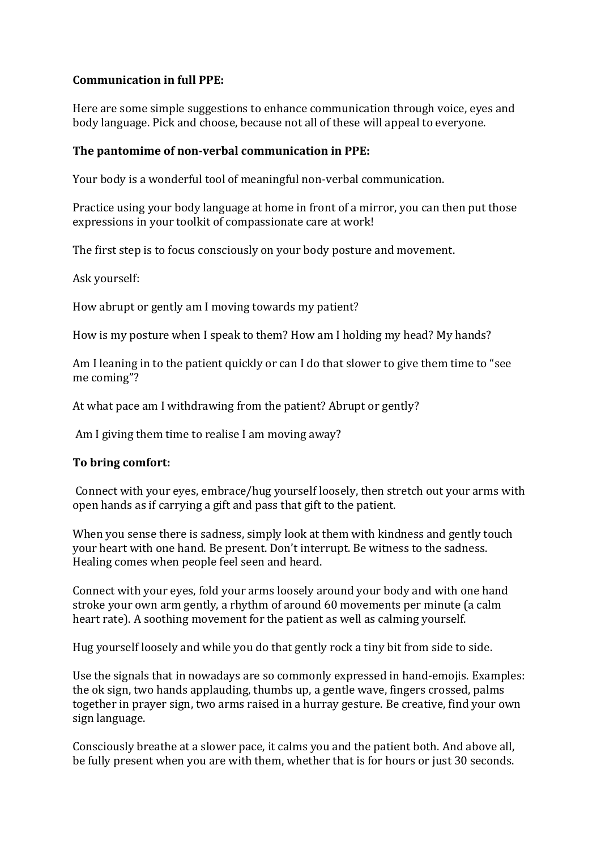#### **Communication in full PPE:**

Here are some simple suggestions to enhance communication through voice, eyes and body language. Pick and choose, because not all of these will appeal to everyone.

#### **The pantomime of non-verbal communication in PPE:**

Your body is a wonderful tool of meaningful non-verbal communication.

Practice using your body language at home in front of a mirror, you can then put those expressions in your toolkit of compassionate care at work!

The first step is to focus consciously on your body posture and movement.

Ask yourself:

How abrupt or gently am I moving towards my patient?

How is my posture when I speak to them? How am I holding my head? My hands?

Am I leaning in to the patient quickly or can I do that slower to give them time to "see me coming"?

At what pace am I withdrawing from the patient? Abrupt or gently?

Am I giving them time to realise I am moving away?

#### **To bring comfort:**

Connect with your eyes, embrace/hug yourself loosely, then stretch out your arms with open hands as if carrying a gift and pass that gift to the patient.

When you sense there is sadness, simply look at them with kindness and gently touch your heart with one hand. Be present. Don't interrupt. Be witness to the sadness. Healing comes when people feel seen and heard.

Connect with your eyes, fold your arms loosely around your body and with one hand stroke your own arm gently, a rhythm of around 60 movements per minute (a calm heart rate). A soothing movement for the patient as well as calming yourself.

Hug yourself loosely and while you do that gently rock a tiny bit from side to side.

Use the signals that in nowadays are so commonly expressed in hand-emojis. Examples: the ok sign, two hands applauding, thumbs up, a gentle wave, fingers crossed, palms together in prayer sign, two arms raised in a hurray gesture. Be creative, find your own sign language.

Consciously breathe at a slower pace, it calms you and the patient both. And above all, be fully present when you are with them, whether that is for hours or just 30 seconds.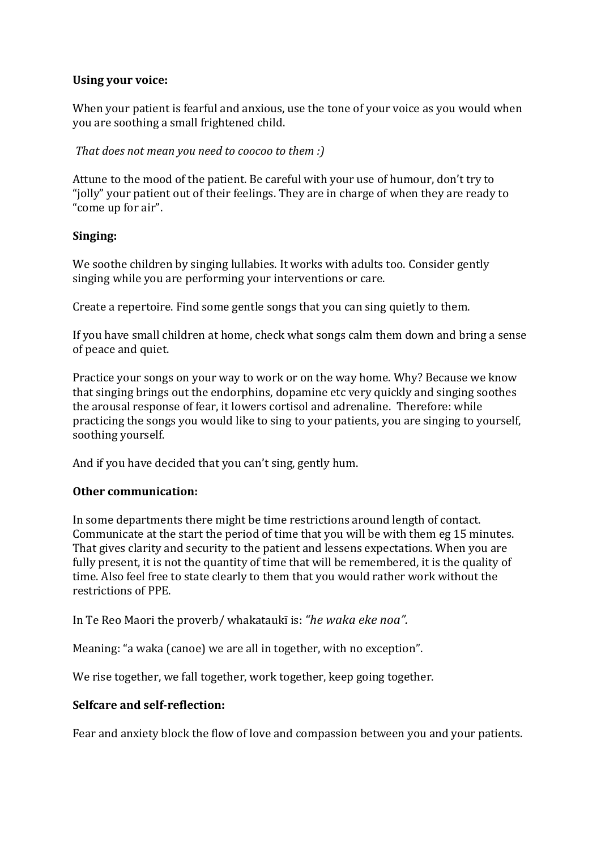#### **Using your voice:**

When your patient is fearful and anxious, use the tone of your voice as you would when you are soothing a small frightened child.

*That does not mean you need to coocoo to them :)*

Attune to the mood of the patient. Be careful with your use of humour, don't try to "jolly" your patient out of their feelings. They are in charge of when they are ready to "come up for air".

#### **Singing:**

We soothe children by singing lullabies. It works with adults too. Consider gently singing while you are performing your interventions or care.

Create a repertoire. Find some gentle songs that you can sing quietly to them.

If you have small children at home, check what songs calm them down and bring a sense of peace and quiet.

Practice your songs on your way to work or on the way home. Why? Because we know that singing brings out the endorphins, dopamine etc very quickly and singing soothes the arousal response of fear, it lowers cortisol and adrenaline. Therefore: while practicing the songs you would like to sing to your patients, you are singing to yourself, soothing yourself.

And if you have decided that you can't sing, gently hum.

#### **Other communication:**

In some departments there might be time restrictions around length of contact. Communicate at the start the period of time that you will be with them eg 15 minutes. That gives clarity and security to the patient and lessens expectations. When you are fully present, it is not the quantity of time that will be remembered, it is the quality of time. Also feel free to state clearly to them that you would rather work without the restrictions of PPE.

In Te Reo Maori the proverb/ whakataukī is: *"he waka eke noa".*

Meaning: "a waka (canoe) we are all in together, with no exception".

We rise together, we fall together, work together, keep going together.

#### **Selfcare and self-reflection:**

Fear and anxiety block the flow of love and compassion between you and your patients.